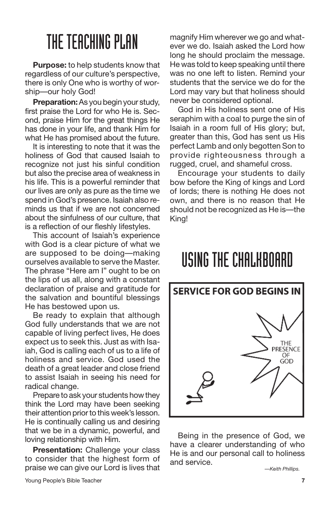**Purpose:** to help students know that regardless of our culture's perspective, there is only One who is worthy of worship—our holy God!

**Preparation:**As you begin your study, first praise the Lord for who He is. Second, praise Him for the great things He has done in your life, and thank Him for what He has promised about the future.

It is interesting to note that it was the holiness of God that caused Isaiah to recognize not just his sinful condition but also the precise area of weakness in his life. This is a powerful reminder that our lives are only as pure as the time we spend in God's presence. Isaiah also reminds us that if we are not concerned about the sinfulness of our culture, that is a reflection of our fleshly lifestyles.

This account of Isaiah's experience with God is a clear picture of what we are supposed to be doing—making ourselves available to serve the Master. The phrase "Here am I" ought to be on the lips of us all, along with a constant declaration of praise and gratitude for the salvation and bountiful blessings He has bestowed upon us.

Be ready to explain that although God fully understands that we are not capable of living perfect lives, He does expect us to seek this. Just as with Isaiah, God is calling each of us to a life of holiness and service. God used the death of a great leader and close friend to assist Isaiah in seeing his need for radical change.

Prepare to ask your students how they think the Lord may have been seeking their attention prior to this week's lesson. He is continually calling us and desiring that we be in a dynamic, powerful, and loving relationship with Him.

**Presentation:** Challenge your class to consider that the highest form of praise we can give our Lord is lives that

magnify Him wherever we go and whatever we do. Isaiah asked the Lord how long he should proclaim the message. He was told to keep speaking until there was no one left to listen. Remind your students that the service we do for the Lord may vary but that holiness should never be considered optional.

God in His holiness sent one of His seraphim with a coal to purge the sin of Isaiah in a room full of His glory; but, greater than this, God has sent us His perfect Lamb and only begotten Son to provide righteousness through a rugged, cruel, and shameful cross.

Encourage your students to daily bow before the King of kings and Lord of lords; there is nothing He does not own, and there is no reason that He should not be recognized as He is—the King!

#### USINGTHE CHALKBOARD



Being in the presence of God, we have a clearer understanding of who He is and our personal call to holiness and service.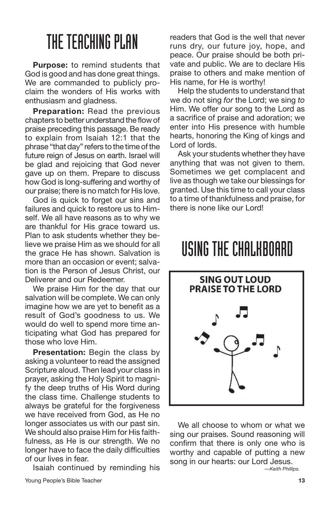**Purpose:** to remind students that God is good and has done great things. We are commanded to publicly proclaim the wonders of His works with enthusiasm and gladness.

**Preparation:** Read the previous chapters to better understand the flowof praise preceding this passage. Be ready to explain from Isaiah 12:1 that the phrase "that day" refers to the time of the future reign of Jesus on earth. Israel will be glad and rejoicing that God never gave up on them. Prepare to discuss how God is long-suffering and worthy of our praise; there is no match for His love.

God is quick to forget our sins and failures and quick to restore us to Himself. We all have reasons as to why we are thankful for His grace toward us. Plan to ask students whether they believe we praise Him as we should for all the grace He has shown. Salvation is more than an occasion or event; salvation is the Person of Jesus Christ, our Deliverer and our Redeemer.

We praise Him for the day that our salvation will be complete. We can only imagine how we are yet to benefit as a result of God's goodness to us. We would do well to spend more time anticipating what God has prepared for those who love Him.

**Presentation:** Begin the class by asking a volunteer to read the assigned Scripture aloud. Then lead your class in prayer, asking the Holy Spirit to magnify the deep truths of His Word during the class time. Challenge students to always be grateful for the forgiveness we have received from God, as He no longer associates us with our past sin. We should also praise Him for His faithfulness, as He is our strength. We no longer have to face the daily difficulties of our lives in fear.

Isaiah continued by reminding his

readers that God is the well that never runs dry, our future joy, hope, and peace. Our praise should be both private and public. We are to declare His praise to others and make mention of His name, for He is worthy!

Help the students to understand that we do not sing *for* the Lord; we sing *to* Him. We offer our song to the Lord as a sacrifice of praise and adoration; we enter into His presence with humble hearts, honoring the King of kings and Lord of lords.

Ask your students whether they have anything that was not given to them. Sometimes we get complacent and live as though we take our blessings for granted. Use this time to call your class to a time of thankfulness and praise, for there is none like our Lord!

#### USINGTHE CHALKBOARD



We all choose to whom or what we sing our praises. Sound reasoning will confirm that there is only one who is worthy and capable of putting a new song in our hearts: our Lord Jesus.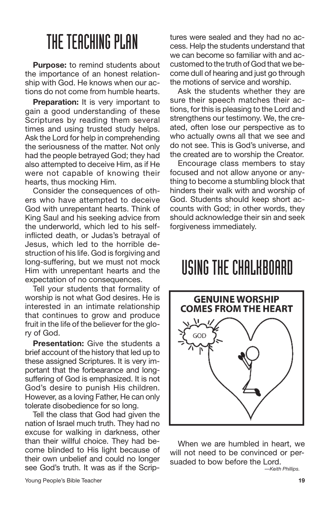**Purpose:** to remind students about the importance of an honest relationship with God. He knows when our actions do not come from humble hearts.

**Preparation:** It is very important to gain a good understanding of these Scriptures by reading them several times and using trusted study helps. Ask the Lord for help in comprehending the seriousness of the matter. Not only had the people betrayed God; they had also attempted to deceive Him, as if He were not capable of knowing their hearts, thus mocking Him.

Consider the consequences of others who have attempted to deceive God with unrepentant hearts. Think of King Saul and his seeking advice from the underworld, which led to his selfinflicted death, or Judas's betrayal of Jesus, which led to the horrible destruction of his life. God is forgiving and long-suffering, but we must not mock Him with unrepentant hearts and the expectation of no consequences.

Tell your students that formality of worship is not what God desires. He is interested in an intimate relationship that continues to grow and produce fruit in the life of the believer for the glory of God.

**Presentation:** Give the students a brief account of the history that led up to these assigned Scriptures. It is very important that the forbearance and longsuffering of God is emphasized. It is not God's desire to punish His children. However, as a loving Father, He can only tolerate disobedience for so long.

Tell the class that God had given the nation of Israel much truth. They had no excuse for walking in darkness, other than their willful choice. They had become blinded to His light because of their own unbelief and could no longer see God's truth. It was as if the Scriptures were sealed and they had no access. Help the students understand that we can become so familiar with and accustomed to the truth of God that we become dull of hearing and just go through the motions of service and worship.

Ask the students whether they are sure their speech matches their actions, for this is pleasing to the Lord and strengthens our testimony. We, the created, often lose our perspective as to who actually owns all that we see and do not see. This is God's universe, and the created are to worship the Creator.

Encourage class members to stay focused and not allow anyone or anything to become a stumbling block that hinders their walk with and worship of God. Students should keep short accounts with God; in other words, they should acknowledge their sin and seek forgiveness immediately.

#### USINGTHE CHALKBOARD



When we are humbled in heart, we will not need to be convinced or persuaded to bow before the Lord.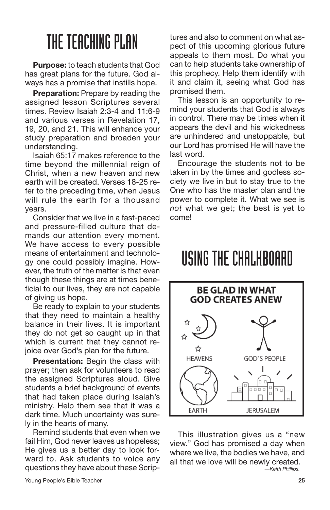**Purpose:** to teach students that God has great plans for the future. God always has a promise that instills hope.

**Preparation:** Prepare by reading the assigned lesson Scriptures several times. Review Isaiah 2:3-4 and 11:6-9 and various verses in Revelation 17, 19, 20, and 21. This will enhance your study preparation and broaden your understanding.

Isaiah 65:17 makes reference to the time beyond the millennial reign of Christ, when a new heaven and new earth will be created. Verses 18-25 refer to the preceding time, when Jesus will rule the earth for a thousand years.

Consider that we live in a fast-paced and pressure-filled culture that demands our attention every moment. We have access to every possible means of entertainment and technology one could possibly imagine. However, the truth of the matter is that even though these things are at times beneficial to our lives, they are not capable of giving us hope.

Be ready to explain to your students that they need to maintain a healthy balance in their lives. It is important they do not get so caught up in that which is current that they cannot rejoice over God's plan for the future.

**Presentation:** Begin the class with prayer; then ask for volunteers to read the assigned Scriptures aloud. Give students a brief background of events that had taken place during Isaiah's ministry. Help them see that it was a dark time. Much uncertainty was surely in the hearts of many.

Remind students that even when we fail Him, God never leaves us hopeless; He gives us a better day to look forward to. Ask students to voice any questions they have about these Scriptures and also to comment on what aspect of this upcoming glorious future appeals to them most. Do what you can to help students take ownership of this prophecy. Help them identify with it and claim it, seeing what God has promised them.

This lesson is an opportunity to remind your students that God is always in control. There may be times when it appears the devil and his wickedness are unhindered and unstoppable, but our Lord has promised He will have the last word.

Encourage the students not to be taken in by the times and godless society we live in but to stay true to the One who has the master plan and the power to complete it. What we see is *not* what we get; the best is yet to come!

#### USINGTHE CHALKBOARD



This illustration gives us a "new view." God has promised a day when where we live, the bodies we have, and all that we love will be newly created. *—Keith Phillips.*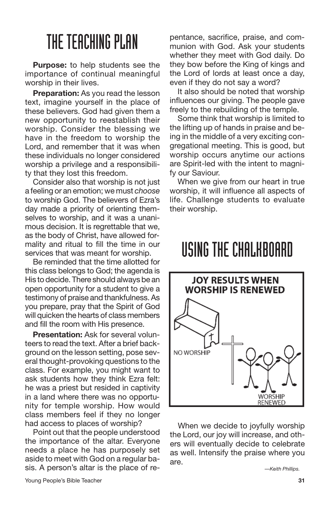**Purpose:** to help students see the importance of continual meaningful worship in their lives.

**Preparation:** As you read the lesson text, imagine yourself in the place of these believers. God had given them a new opportunity to reestablish their worship. Consider the blessing we have in the freedom to worship the Lord, and remember that it was when these individuals no longer considered worship a privilege and a responsibility that they lost this freedom.

Consider also that worship is not just a feeling or an emotion; we must *choose* to worship God. The believers of Ezra's day made a priority of orienting themselves to worship, and it was a unanimous decision. It is regrettable that we, as the body of Christ, have allowed formality and ritual to fill the time in our services that was meant for worship.

Be reminded that the time allotted for this class belongs to God; the agenda is His to decide. There should always be an open opportunity for a student to give a testimony of praise and thankfulness. As you prepare, pray that the Spirit of God will quicken the hearts of class members and fill the room with His presence.

**Presentation:** Ask for several volunteers to read the text. After a brief background on the lesson setting, pose several thought-provoking questions to the class. For example, you might want to ask students how they think Ezra felt: he was a priest but resided in captivity in a land where there was no opportunity for temple worship. How would class members feel if they no longer had access to places of worship?

Point out that the people understood the importance of the altar. Everyone needs a place he has purposely set aside to meet with God on a regular basis. A person's altar is the place of repentance, sacrifice, praise, and communion with God. Ask your students whether they meet with God daily. Do they bow before the King of kings and the Lord of lords at least once a day, even if they do not say a word?

It also should be noted that worship influences our giving. The people gave freely to the rebuilding of the temple.

Some think that worship is limited to the lifting up of hands in praise and being in the middle of a very exciting congregational meeting. This is good, but worship occurs anytime our actions are Spirit-led with the intent to magnify our Saviour.

When we give from our heart in true worship, it will influence all aspects of life. Challenge students to evaluate their worship.

#### USINGTHE CHALKBOARD



When we decide to joyfully worship the Lord, our joy will increase, and others will eventually decide to celebrate as well. Intensify the praise where you are.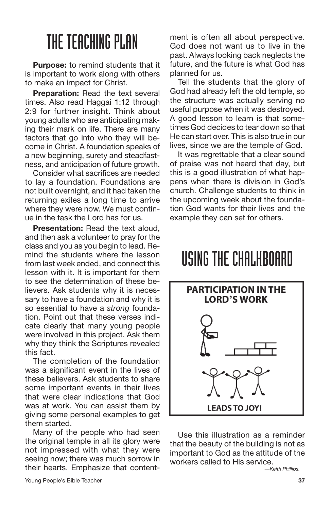**Purpose:** to remind students that it is important to work along with others to make an impact for Christ.

**Preparation:** Read the text several times. Also read Haggai 1:12 through 2:9 for further insight. Think about young adults who are anticipating making their mark on life. There are many factors that go into who they will become in Christ. A foundation speaks of a new beginning, surety and steadfastness, and anticipation of future growth.

Consider what sacrifices are needed to lay a foundation. Foundations are not built overnight, and it had taken the returning exiles a long time to arrive where they were now. We must continue in the task the Lord has for us.

**Presentation:** Read the text aloud, and then ask a volunteer to pray for the class and you as you begin to lead. Remind the students where the lesson from last week ended, and connect this lesson with it. It is important for them to see the determination of these believers. Ask students why it is necessary to have a foundation and why it is so essential to have a *strong* foundation. Point out that these verses indicate clearly that many young people were involved in this project. Ask them why they think the Scriptures revealed this fact.

The completion of the foundation was a significant event in the lives of these believers. Ask students to share some important events in their lives that were clear indications that God was at work. You can assist them by giving some personal examples to get them started.

Many of the people who had seen the original temple in all its glory were not impressed with what they were seeing now; there was much sorrow in their hearts. Emphasize that contentment is often all about perspective. God does not want us to live in the past. Always looking back neglects the future, and the future is what God has planned for us.

Tell the students that the glory of God had already left the old temple, so the structure was actually serving no useful purpose when it was destroyed. A good lesson to learn is that sometimes God decides to tear down so that He can start over. This is also true in our lives, since we are the temple of God.

It was regrettable that a clear sound of praise was not heard that day, but this is a good illustration of what happens when there is division in God's church. Challenge students to think in the upcoming week about the foundation God wants for their lives and the example they can set for others.

## USINGTHE CHALKBOARD



Use this illustration as a reminder that the beauty of the building is not as important to God as the attitude of the workers called to His service.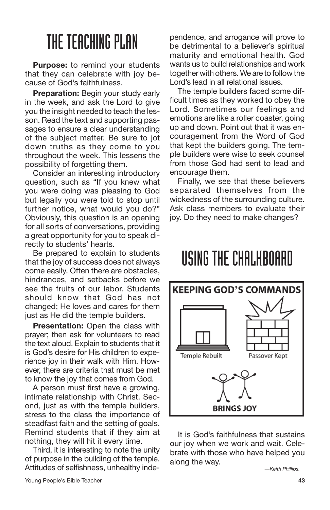**Purpose:** to remind your students that they can celebrate with joy because of God's faithfulness.

**Preparation:** Begin your study early in the week, and ask the Lord to give you the insight needed to teach the lesson. Read the text and supporting passages to ensure a clear understanding of the subject matter. Be sure to jot down truths as they come to you throughout the week. This lessens the possibility of forgetting them.

Consider an interesting introductory question, such as "If you knew what you were doing was pleasing to God but legally you were told to stop until further notice, what would you do?" Obviously, this question is an opening for all sorts of conversations, providing a great opportunity for you to speak directly to students' hearts.

Be prepared to explain to students that the joy of success does not always come easily. Often there are obstacles, hindrances, and setbacks before we see the fruits of our labor. Students should know that God has not changed; He loves and cares for them just as He did the temple builders.

**Presentation:** Open the class with prayer; then ask for volunteers to read the text aloud. Explain to students that it is God's desire for His children to experience joy in their walk with Him. However, there are criteria that must be met to know the joy that comes from God.

A person must first have a growing, intimate relationship with Christ. Second, just as with the temple builders, stress to the class the importance of steadfast faith and the setting of goals. Remind students that if they aim at nothing, they will hit it every time.

Third, it is interesting to note the unity of purpose in the building of the temple. Attitudes of selfishness, unhealthy independence, and arrogance will prove to be detrimental to a believer's spiritual maturity and emotional health. God wants us to build relationships and work together with others. We are to follow the Lord's lead in all relational issues.

The temple builders faced some difficult times as they worked to obey the Lord. Sometimes our feelings and emotions are like a roller coaster, going up and down. Point out that it was encouragement from the Word of God that kept the builders going. The temple builders were wise to seek counsel from those God had sent to lead and encourage them.

Finally, we see that these believers separated themselves from the wickedness of the surrounding culture. Ask class members to evaluate their joy. Do they need to make changes?

#### USINGTHE CHALKBOARD



It is God's faithfulness that sustains our joy when we work and wait. Celebrate with those who have helped you along the way.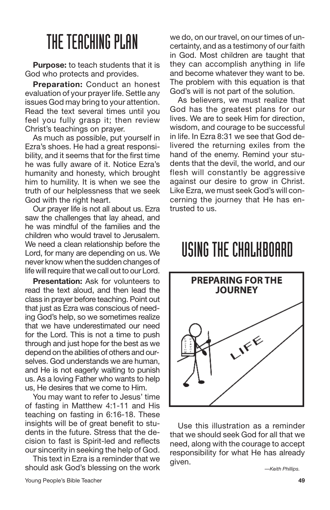**Purpose:** to teach students that it is God who protects and provides.

**Preparation:** Conduct an honest evaluation of your prayer life. Settle any issues God may bring to your attention. Read the text several times until you feel you fully grasp it; then review Christ's teachings on prayer.

As much as possible, put yourself in Ezra's shoes. He had a great responsibility, and it seems that for the first time he was fully aware of it. Notice Ezra's humanity and honesty, which brought him to humility. It is when we see the truth of our helplessness that we seek God with the right heart.

Our prayer life is not all about us. Ezra saw the challenges that lay ahead, and he was mindful of the families and the children who would travel to Jerusalem. We need a clean relationship before the Lord, for many are depending on us. We never knowwhen the sudden changes of life will require that we call out to our Lord.

**Presentation:** Ask for volunteers to read the text aloud, and then lead the class in prayer before teaching. Point out that just as Ezra was conscious of needing God's help, so we sometimes realize that we have underestimated our need for the Lord. This is not a time to push through and just hope for the best as we depend on the abilities of others and ourselves. God understands we are human, and He is not eagerly waiting to punish us. As a loving Father who wants to help us, He desires that we come to Him.

You may want to refer to Jesus' time of fasting in Matthew 4:1-11 and His teaching on fasting in 6:16-18. These insights will be of great benefit to students in the future. Stress that the decision to fast is Spirit-led and reflects our sincerity in seeking the help of God.

This text in Ezra is a reminder that we should ask God's blessing on the work

we do, on our travel, on our times of uncertainty, and as a testimony of our faith in God. Most children are taught that they can accomplish anything in life and become whatever they want to be. The problem with this equation is that God's will is not part of the solution.

As believers, we must realize that God has the greatest plans for our lives. We are to seek Him for direction, wisdom, and courage to be successful in life. In Ezra 8:31 we see that God delivered the returning exiles from the hand of the enemy. Remind your students that the devil, the world, and our flesh will constantly be aggressive against our desire to grow in Christ. Like Ezra, we must seek God's will concerning the journey that He has entrusted to us.

#### USINGTHE CHALKBOARD



Use this illustration as a reminder that we should seek God for all that we need, along with the courage to accept responsibility for what He has already given.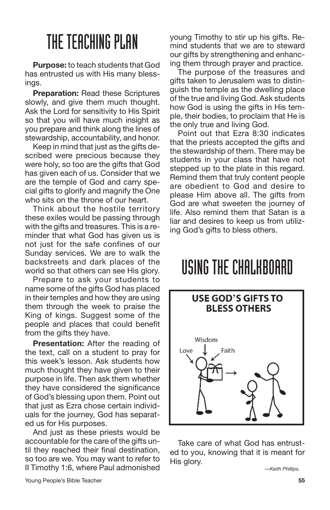**Purpose:** to teach students that God has entrusted us with His many blessings.

**Preparation:** Read these Scriptures slowly, and give them much thought. Ask the Lord for sensitivity to His Spirit so that you will have much insight as you prepare and think along the lines of stewardship, accountability, and honor.

Keep in mind that just as the gifts described were precious because they were holy, so too are the gifts that God has given each of us. Consider that we are the temple of God and carry special gifts to glorify and magnify the One who sits on the throne of our heart.

Think about the hostile territory these exiles would be passing through with the gifts and treasures. This is a reminder that what God has given us is not just for the safe confines of our Sunday services. We are to walk the backstreets and dark places of the world so that others can see His glory.

Prepare to ask your students to name some of the gifts God has placed in their temples and how they are using them through the week to praise the King of kings. Suggest some of the people and places that could benefit from the gifts they have.

**Presentation:** After the reading of the text, call on a student to pray for this week's lesson. Ask students how much thought they have given to their purpose in life. Then ask them whether they have considered the significance of God's blessing upon them. Point out that just as Ezra chose certain individuals for the journey, God has separated us for His purposes.

And just as these priests would be accountable for the care of the gifts until they reached their final destination, so too are we. You may want to refer to II Timothy 1:6, where Paul admonished young Timothy to stir up his gifts. Remind students that we are to steward our gifts by strengthening and enhancing them through prayer and practice.

The purpose of the treasures and gifts taken to Jerusalem was to distinguish the temple as the dwelling place of the true and living God. Ask students how God is using the gifts in His temple, their bodies, to proclaim that He is the only true and living God.

Point out that Ezra 8:30 indicates that the priests accepted the gifts and the stewardship of them. There may be students in your class that have not stepped up to the plate in this regard. Remind them that truly content people are obedient to God and desire to please Him above all. The gifts from God are what sweeten the journey of life. Also remind them that Satan is a liar and desires to keep us from utilizing God's gifts to bless others.

## USINGTHE CHALKBOARD



Take care of what God has entrusted to you, knowing that it is meant for His glory.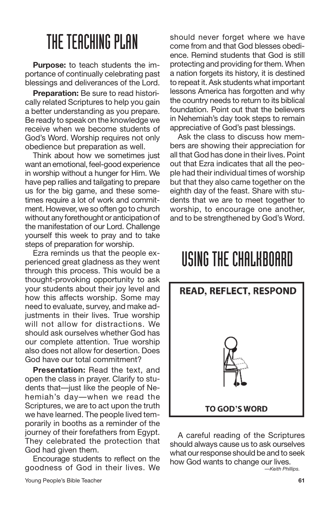**Purpose:** to teach students the importance of continually celebrating past blessings and deliverances of the Lord.

**Preparation:** Be sure to read historically related Scriptures to help you gain a better understanding as you prepare. Be ready to speak on the knowledge we receive when we become students of God's Word. Worship requires not only obedience but preparation as well.

Think about how we sometimes just want an emotional, feel-good experience in worship without a hunger for Him. We have pep rallies and tailgating to prepare us for the big game, and these sometimes require a lot of work and commitment. However, we so often go to church without any forethought or anticipation of the manifestation of our Lord. Challenge yourself this week to pray and to take steps of preparation for worship.

Ezra reminds us that the people experienced great gladness as they went through this process. This would be a thought-provoking opportunity to ask your students about their joy level and how this affects worship. Some may need to evaluate, survey, and make adjustments in their lives. True worship will not allow for distractions. We should ask ourselves whether God has our complete attention. True worship also does not allow for desertion. Does God have our total commitment?

**Presentation:** Read the text, and open the class in prayer. Clarify to students that—just like the people of Nehemiah's day—when we read the Scriptures, we are to act upon the truth we have learned. The people lived temporarily in booths as a reminder of the journey of their forefathers from Egypt. They celebrated the protection that God had given them.

Encourage students to reflect on the goodness of God in their lives. We should never forget where we have come from and that God blesses obedience. Remind students that God is still protecting and providing for them. When a nation forgets its history, it is destined to repeat it. Ask students what important lessons America has forgotten and why the country needs to return to its biblical foundation. Point out that the believers in Nehemiah's day took steps to remain appreciative of God's past blessings.

Ask the class to discuss how members are showing their appreciation for all that God has done in their lives. Point out that Ezra indicates that all the people had their individual times of worship but that they also came together on the eighth day of the feast. Share with students that we are to meet together to worship, to encourage one another, and to be strengthened by God's Word.

## USINGTHE CHALKBOARD



A careful reading of the Scriptures should always cause us to ask ourselves what our response should be and to seek how God wants to change our lives. *—Keith Phillips.*

Young People's Bible Teacher **61**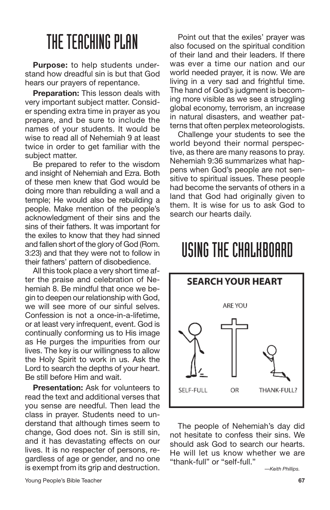**Purpose:** to help students understand how dreadful sin is but that God hears our prayers of repentance.

**Preparation:** This lesson deals with very important subject matter. Consider spending extra time in prayer as you prepare, and be sure to include the names of your students. It would be wise to read all of Nehemiah 9 at least twice in order to get familiar with the subject matter.

Be prepared to refer to the wisdom and insight of Nehemiah and Ezra. Both of these men knew that God would be doing more than rebuilding a wall and a temple; He would also be rebuilding a people. Make mention of the people's acknowledgment of their sins and the sins of their fathers. It was important for the exiles to know that they had sinned and fallen short of the glory of God (Rom. 3:23) and that they were not to follow in their fathers' pattern of disobedience.

All this took place a very short time after the praise and celebration of Nehemiah 8. Be mindful that once we begin to deepen our relationship with God, we will see more of our sinful selves. Confession is not a once-in-a-lifetime, or at least very infrequent, event. God is continually conforming us to His image as He purges the impurities from our lives. The key is our willingness to allow the Holy Spirit to work in us. Ask the Lord to search the depths of your heart. Be still before Him and wait.

**Presentation:** Ask for volunteers to read the text and additional verses that you sense are needful. Then lead the class in prayer. Students need to understand that although times seem to change, God does not. Sin is still sin, and it has devastating effects on our lives. It is no respecter of persons, regardless of age or gender, and no one is exempt from its grip and destruction.

Point out that the exiles' prayer was also focused on the spiritual condition of their land and their leaders. If there was ever a time our nation and our world needed prayer, it is now. We are living in a very sad and frightful time. The hand of God's judgment is becoming more visible as we see a struggling global economy, terrorism, an increase in natural disasters, and weather patterns that often perplex meteorologists.

Challenge your students to see the world beyond their normal perspective, as there are many reasons to pray. Nehemiah 9:36 summarizes what happens when God's people are not sensitive to spiritual issues. These people had become the servants of others in a land that God had originally given to them. It is wise for us to ask God to search our hearts daily.

## USINGTHE CHALKBOARD



The people of Nehemiah's day did not hesitate to confess their sins. We should ask God to search our hearts. He will let us know whether we are "thank-full" or "self-full."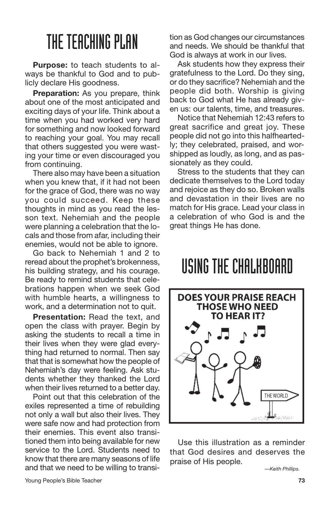**Purpose:** to teach students to always be thankful to God and to publicly declare His goodness.

**Preparation:** As you prepare, think about one of the most anticipated and exciting days of your life. Think about a time when you had worked very hard for something and now looked forward to reaching your goal. You may recall that others suggested you were wasting your time or even discouraged you from continuing.

There also may have been a situation when you knew that, if it had not been for the grace of God, there was no way you could succeed. Keep these thoughts in mind as you read the lesson text. Nehemiah and the people were planning a celebration that the locals and those from afar, including their enemies, would not be able to ignore.

Go back to Nehemiah 1 and 2 to reread about the prophet's brokenness, his building strategy, and his courage. Be ready to remind students that celebrations happen when we seek God with humble hearts, a willingness to work, and a determination not to quit.

**Presentation:** Read the text, and open the class with prayer. Begin by asking the students to recall a time in their lives when they were glad everything had returned to normal. Then say that that is somewhat how the people of Nehemiah's day were feeling. Ask students whether they thanked the Lord when their lives returned to a better day.

Point out that this celebration of the exiles represented a time of rebuilding not only a wall but also their lives. They were safe now and had protection from their enemies. This event also transitioned them into being available for new service to the Lord. Students need to know that there are many seasons of life and that we need to be willing to transition as God changes our circumstances and needs. We should be thankful that God is always at work in our lives.

Ask students how they express their gratefulness to the Lord. Do they sing, or do they sacrifice? Nehemiah and the people did both. Worship is giving back to God what He has already given us: our talents, time, and treasures.

Notice that Nehemiah 12:43 refers to great sacrifice and great joy. These people did not go into this halfheartedly; they celebrated, praised, and worshipped as loudly, as long, and as passionately as they could.

Stress to the students that they can dedicate themselves to the Lord today and rejoice as they do so. Broken walls and devastation in their lives are no match for His grace. Lead your class in a celebration of who God is and the great things He has done.

#### USINGTHE CHALKBOARD



Use this illustration as a reminder that God desires and deserves the praise of His people.